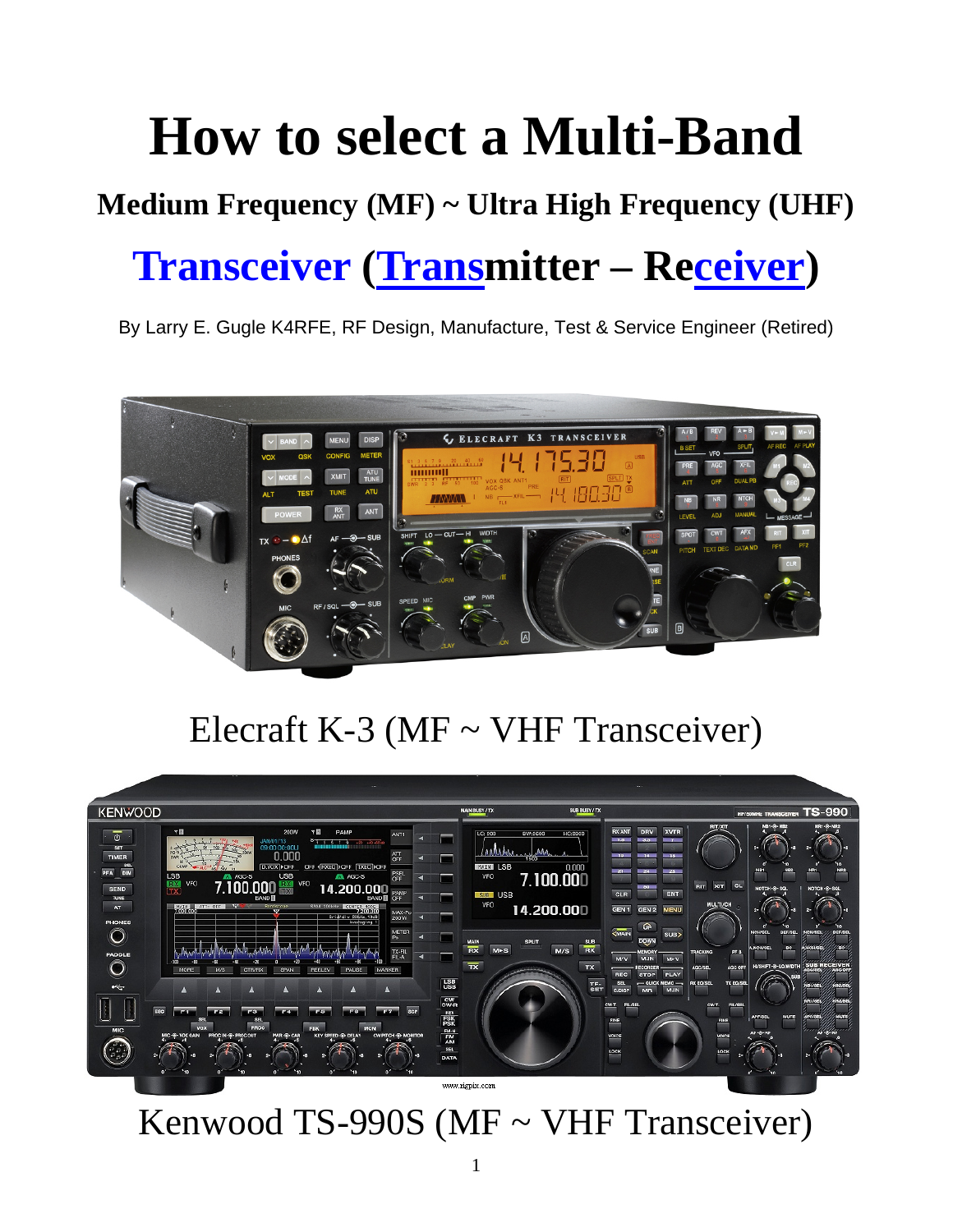# **How to select a Multi-Band**

### **Medium Frequency (MF) ~ Ultra High Frequency (UHF)**

## **Transceiver (Transmitter – Receiver)**

By Larry E. Gugle K4RFE, RF Design, Manufacture, Test & Service Engineer (Retired)



### Elecraft K-3 (MF ~ VHF Transceiver)



Kenwood TS-990S (MF ~ VHF Transceiver)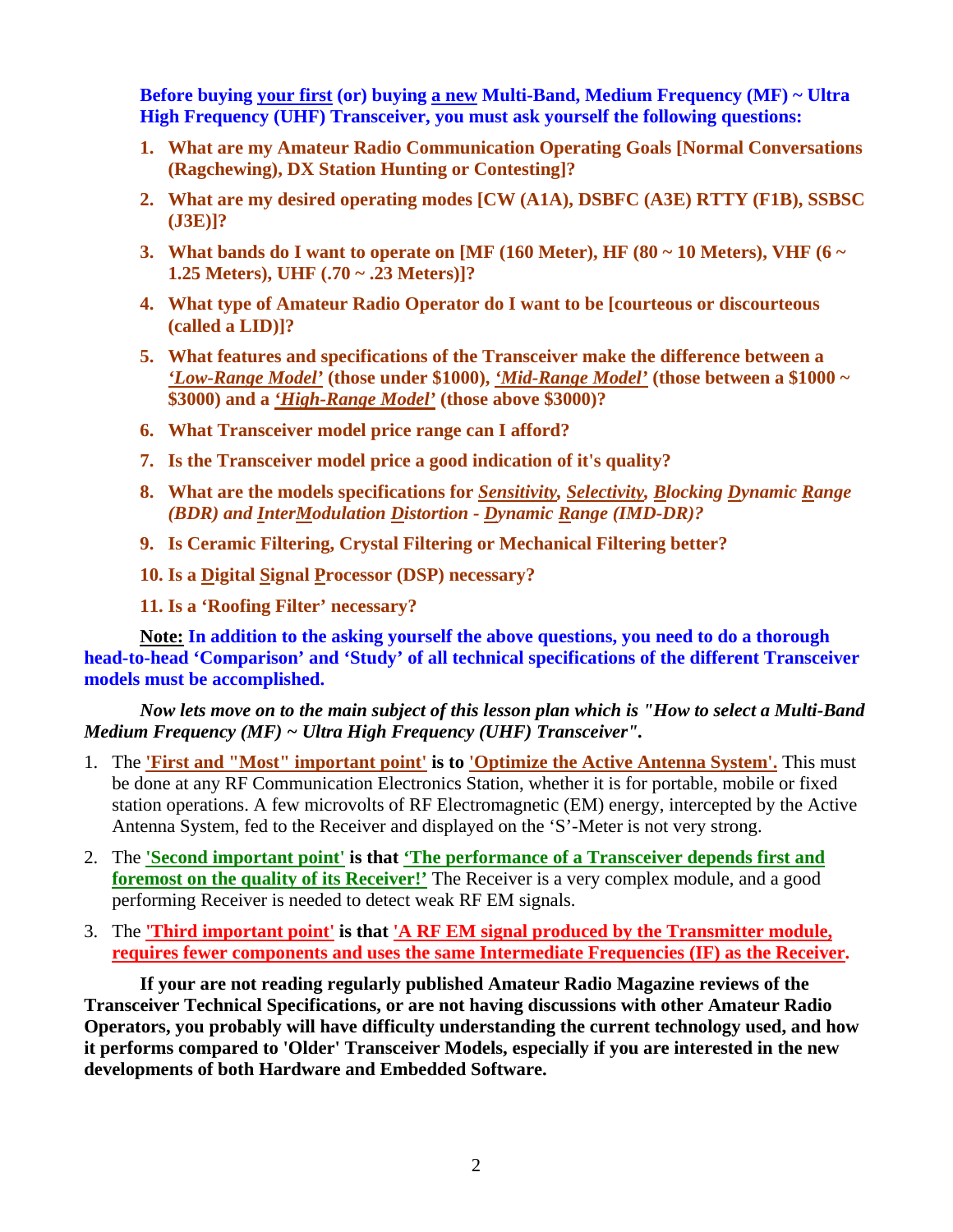**Before buying your first (or) buying a new Multi-Band, Medium Frequency (MF) ~ Ultra High Frequency (UHF) Transceiver, you must ask yourself the following questions:** 

- **1. What are my Amateur Radio Communication Operating Goals [Normal Conversations (Ragchewing), DX Station Hunting or Contesting]?**
- **2. What are my desired operating modes [CW (A1A), DSBFC (A3E) RTTY (F1B), SSBSC (J3E)]?**
- **3. What bands do I want to operate on [MF (160 Meter), HF (80**  $\sim$  **10 Meters), VHF (6**  $\sim$ **1.25 Meters), UHF (.70 ~ .23 Meters)]?**
- **4. What type of Amateur Radio Operator do I want to be [courteous or discourteous (called a LID)]?**
- **5. What features and specifications of the Transceiver make the difference between a**  *'Low-Range Model'* **(those under \$1000),** *'Mid-Range Model'* **(those between a \$1000 ~ \$3000) and a** *'High-Range Model'* **(those above \$3000)?**
- **6. What Transceiver model price range can I afford?**
- **7. Is the Transceiver model price a good indication of it's quality?**
- **8. What are the models specifications for** *Sensitivity, Selectivity, Blocking Dynamic Range (BDR) and InterModulation Distortion - Dynamic Range (IMD-DR)?*
- **9. Is Ceramic Filtering, Crystal Filtering or Mechanical Filtering better?**
- **10. Is a Digital Signal Processor (DSP) necessary?**
- **11. Is a 'Roofing Filter' necessary?**

**Note: In addition to the asking yourself the above questions, you need to do a thorough head-to-head 'Comparison' and 'Study' of all technical specifications of the different Transceiver models must be accomplished.**

*Now lets move on to the main subject of this lesson plan which is "How to select a Multi-Band Medium Frequency (MF) ~ Ultra High Frequency (UHF) Transceiver".*

- 1. The **'First and "Most" important point' is to 'Optimize the Active Antenna System'.** This must be done at any RF Communication Electronics Station, whether it is for portable, mobile or fixed station operations. A few microvolts of RF Electromagnetic (EM) energy, intercepted by the Active Antenna System, fed to the Receiver and displayed on the 'S'-Meter is not very strong.
- 2. The **'Second important point' is that 'The performance of a Transceiver depends first and foremost on the quality of its Receiver!'** The Receiver is a very complex module, and a good performing Receiver is needed to detect weak RF EM signals.
- 3. The **'Third important point' is that 'A RF EM signal produced by the Transmitter module, requires fewer components and uses the same Intermediate Frequencies (IF) as the Receiver.**

**If your are not reading regularly published Amateur Radio Magazine reviews of the Transceiver Technical Specifications, or are not having discussions with other Amateur Radio Operators, you probably will have difficulty understanding the current technology used, and how it performs compared to 'Older' Transceiver Models, especially if you are interested in the new developments of both Hardware and Embedded Software.**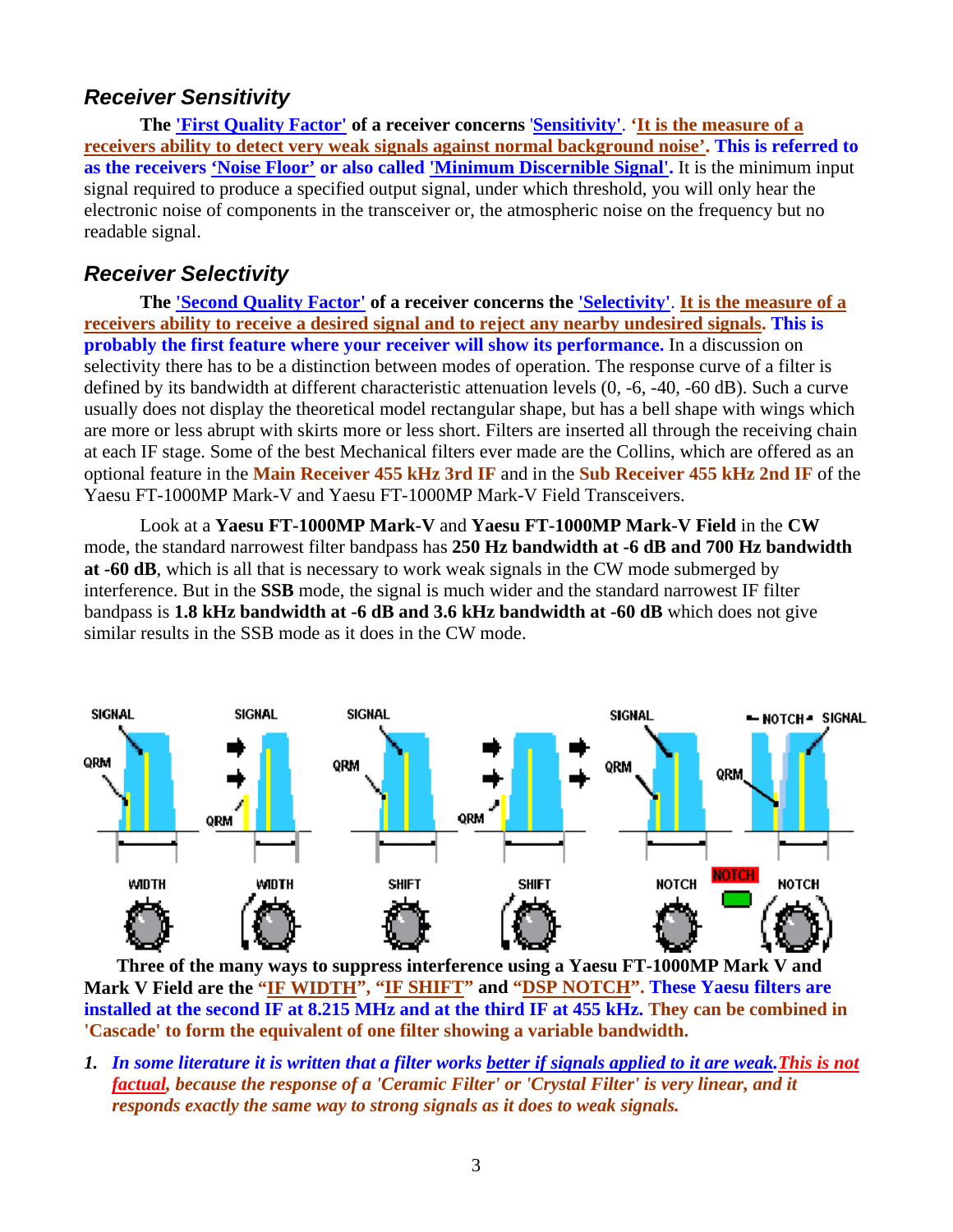#### *Receiver Sensitivity*

**The 'First Quality Factor' of a receiver concerns** '**Sensitivity'**. **'It is the measure of a receivers ability to detect very weak signals against normal background noise'. This is referred to as the receivers 'Noise Floor' or also called 'Minimum Discernible Signal'.** It is the minimum input signal required to produce a specified output signal, under which threshold, you will only hear the electronic noise of components in the transceiver or, the atmospheric noise on the frequency but no readable signal.

#### *Receiver Selectivity*

**The 'Second Quality Factor' of a receiver concerns the 'Selectivity'**. **It is the measure of a receivers ability to receive a desired signal and to reject any nearby undesired signals. This is probably the first feature where your receiver will show its performance.** In a discussion on selectivity there has to be a distinction between modes of operation. The response curve of a filter is defined by its bandwidth at different characteristic attenuation levels (0, -6, -40, -60 dB). Such a curve usually does not display the theoretical model rectangular shape, but has a bell shape with wings which are more or less abrupt with skirts more or less short. Filters are inserted all through the receiving chain at each IF stage. Some of the best Mechanical filters ever made are the Collins, which are offered as an optional feature in the **Main Receiver 455 kHz 3rd IF** and in the **Sub Receiver 455 kHz 2nd IF** of the Yaesu FT-1000MP Mark-V and Yaesu FT-1000MP Mark-V Field Transceivers.

Look at a **Yaesu FT-1000MP Mark-V** and **Yaesu FT-1000MP Mark-V Field** in the **CW** mode, the standard narrowest filter bandpass has **250 Hz bandwidth at -6 dB and 700 Hz bandwidth at -60 dB**, which is all that is necessary to work weak signals in the CW mode submerged by interference. But in the **SSB** mode, the signal is much wider and the standard narrowest IF filter bandpass is **1.8 kHz bandwidth at -6 dB and 3.6 kHz bandwidth at -60 dB** which does not give similar results in the SSB mode as it does in the CW mode.



 **Three of the many ways to suppress interference using a Yaesu FT-1000MP Mark V and Mark V Field are the "IF WIDTH", "IF SHIFT" and "DSP NOTCH". These Yaesu filters are installed at the second IF at 8.215 MHz and at the third IF at 455 kHz. They can be combined in 'Cascade' to form the equivalent of one filter showing a variable bandwidth.** 

*1. In some literature it is written that a filter works better if signals applied to it are weak.This is not factual, because the response of a 'Ceramic Filter' or 'Crystal Filter' is very linear, and it responds exactly the same way to strong signals as it does to weak signals.*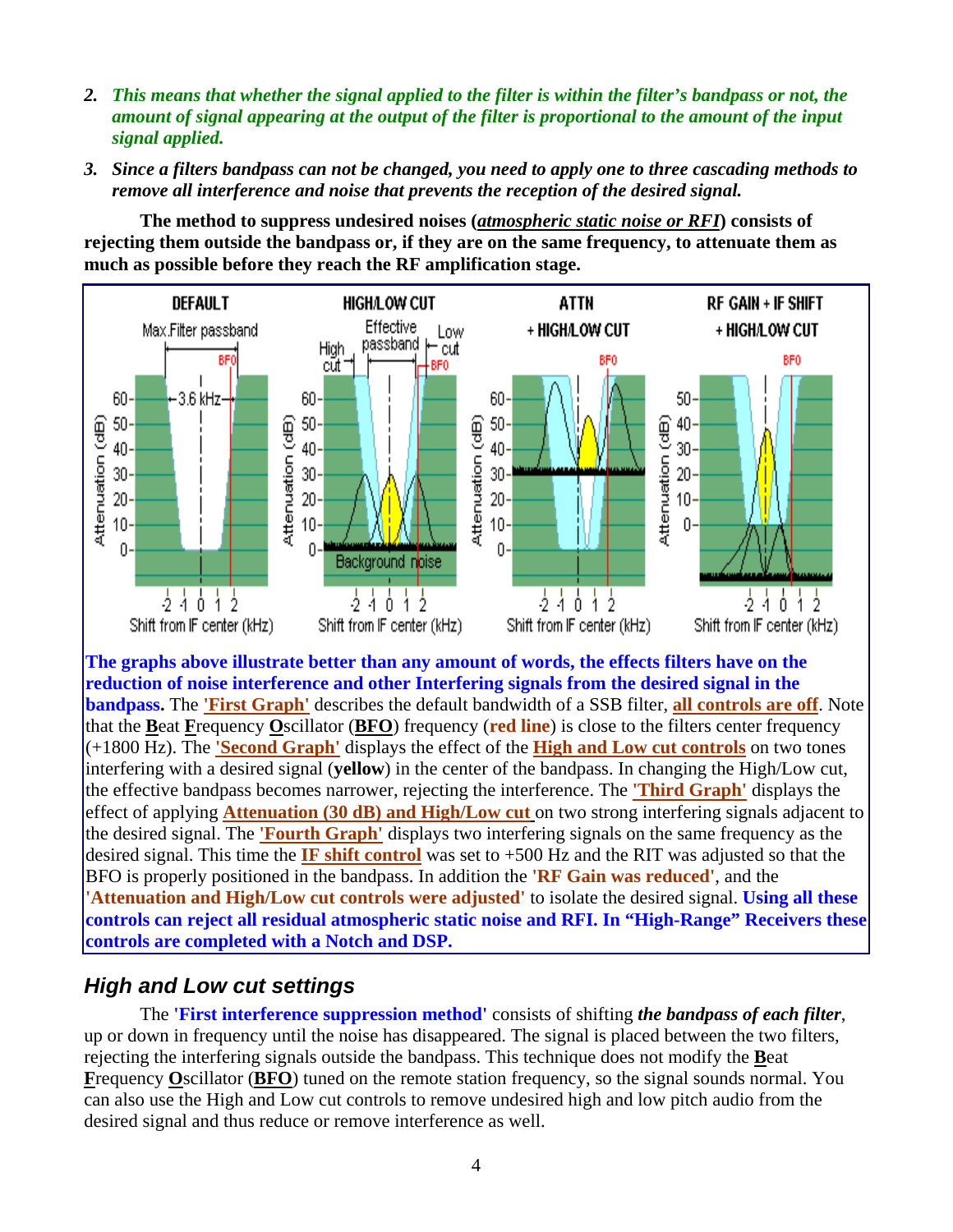- *2. This means that whether the signal applied to the filter is within the filter's bandpass or not, the amount of signal appearing at the output of the filter is proportional to the amount of the input signal applied.*
- *3. Since a filters bandpass can not be changed, you need to apply one to three cascading methods to remove all interference and noise that prevents the reception of the desired signal.*

**The method to suppress undesired noises (***atmospheric static noise or RFI***) consists of rejecting them outside the bandpass or, if they are on the same frequency, to attenuate them as much as possible before they reach the RF amplification stage.** 



**The graphs above illustrate better than any amount of words, the effects filters have on the reduction of noise interference and other Interfering signals from the desired signal in the bandpass.** The **'First Graph'** describes the default bandwidth of a SSB filter, **all controls are off**. Note that the **B**eat **F**requency **O**scillator (**BFO**) frequency (**red line**) is close to the filters center frequency (+1800 Hz). The **'Second Graph'** displays the effect of the **High and Low cut controls** on two tones interfering with a desired signal (**yellow**) in the center of the bandpass. In changing the High/Low cut, the effective bandpass becomes narrower, rejecting the interference. The **'Third Graph'** displays the effect of applying **Attenuation (30 dB) and High/Low cut** on two strong interfering signals adjacent to the desired signal. The **'Fourth Graph'** displays two interfering signals on the same frequency as the desired signal. This time the **IF shift control** was set to +500 Hz and the RIT was adjusted so that the BFO is properly positioned in the bandpass. In addition the **'RF Gain was reduced'**, and the **'Attenuation and High/Low cut controls were adjusted'** to isolate the desired signal. **Using all these controls can reject all residual atmospheric static noise and RFI. In "High-Range" Receivers these controls are completed with a Notch and DSP.**

#### *High and Low cut settings*

The **'First interference suppression method'** consists of shifting *the bandpass of each filter*, up or down in frequency until the noise has disappeared. The signal is placed between the two filters, rejecting the interfering signals outside the bandpass. This technique does not modify the **B**eat **F**requency **O**scillator (**BFO**) tuned on the remote station frequency, so the signal sounds normal. You can also use the High and Low cut controls to remove undesired high and low pitch audio from the desired signal and thus reduce or remove interference as well.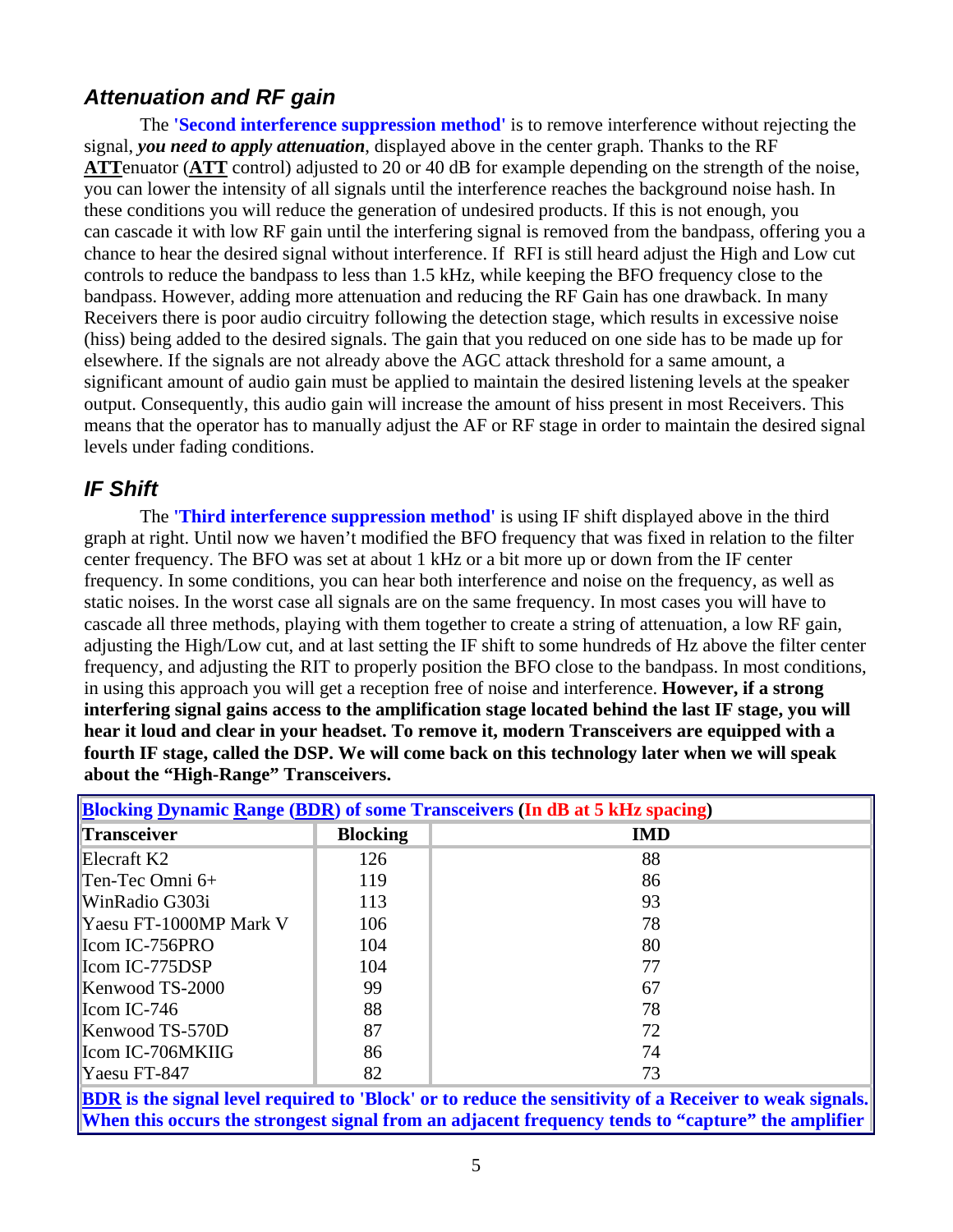#### *Attenuation and RF gain*

The **'Second interference suppression method'** is to remove interference without rejecting the signal, *you need to apply attenuation*, displayed above in the center graph. Thanks to the RF **ATT**enuator (**ATT** control) adjusted to 20 or 40 dB for example depending on the strength of the noise, you can lower the intensity of all signals until the interference reaches the background noise hash. In these conditions you will reduce the generation of undesired products. If this is not enough, you can cascade it with low RF gain until the interfering signal is removed from the bandpass, offering you a chance to hear the desired signal without interference. If RFI is still heard adjust the High and Low cut controls to reduce the bandpass to less than 1.5 kHz, while keeping the BFO frequency close to the bandpass. However, adding more attenuation and reducing the RF Gain has one drawback. In many Receivers there is poor audio circuitry following the detection stage, which results in excessive noise (hiss) being added to the desired signals. The gain that you reduced on one side has to be made up for elsewhere. If the signals are not already above the AGC attack threshold for a same amount, a significant amount of audio gain must be applied to maintain the desired listening levels at the speaker output. Consequently, this audio gain will increase the amount of hiss present in most Receivers. This means that the operator has to manually adjust the AF or RF stage in order to maintain the desired signal levels under fading conditions.

#### *IF Shift*

The **'Third interference suppression method'** is using IF shift displayed above in the third graph at right. Until now we haven't modified the BFO frequency that was fixed in relation to the filter center frequency. The BFO was set at about 1 kHz or a bit more up or down from the IF center frequency. In some conditions, you can hear both interference and noise on the frequency, as well as static noises. In the worst case all signals are on the same frequency. In most cases you will have to cascade all three methods, playing with them together to create a string of attenuation, a low RF gain, adjusting the High/Low cut, and at last setting the IF shift to some hundreds of Hz above the filter center frequency, and adjusting the RIT to properly position the BFO close to the bandpass. In most conditions, in using this approach you will get a reception free of noise and interference. **However, if a strong interfering signal gains access to the amplification stage located behind the last IF stage, you will hear it loud and clear in your headset. To remove it, modern Transceivers are equipped with a fourth IF stage, called the DSP. We will come back on this technology later when we will speak about the "High-Range" Transceivers.** 

| <b>Blocking Dynamic Range (BDR) of some Transceivers (In dB at 5 kHz spacing)</b>                  |                 |            |
|----------------------------------------------------------------------------------------------------|-----------------|------------|
| Transceiver                                                                                        | <b>Blocking</b> | <b>IMD</b> |
| Elecraft $K2$                                                                                      | 126             | 88         |
| $\Gamma$ en-Tec Omni 6+                                                                            | 119             | 86         |
| WinRadio G303i                                                                                     | 113             | 93         |
| Yaesu FT-1000MP Mark V                                                                             | 106             | 78         |
| $\left  \right $ Icom IC-756PRO                                                                    | 104             | 80         |
| $\left  \right $ Icom IC-775DSP                                                                    | 104             | 77         |
| Kenwood TS-2000                                                                                    | 99              | 67         |
| $\left  \right $ Icom IC-746                                                                       | 88              | 78         |
| Kenwood TS-570D                                                                                    | 87              | 72         |
| Icom IC-706MKIIG                                                                                   | 86              | 74         |
| $\text{Ya}$ esu FT-847                                                                             | 82              | 73         |
| DDD to the stand level usering to Disoblem to notice the constitutor of a Deceiver to week stands. |                 |            |

**BDR is the signal level required to 'Block' or to reduce the sensitivity of a Receiver to weak signals. When this occurs the strongest signal from an adjacent frequency tends to "capture" the amplifier**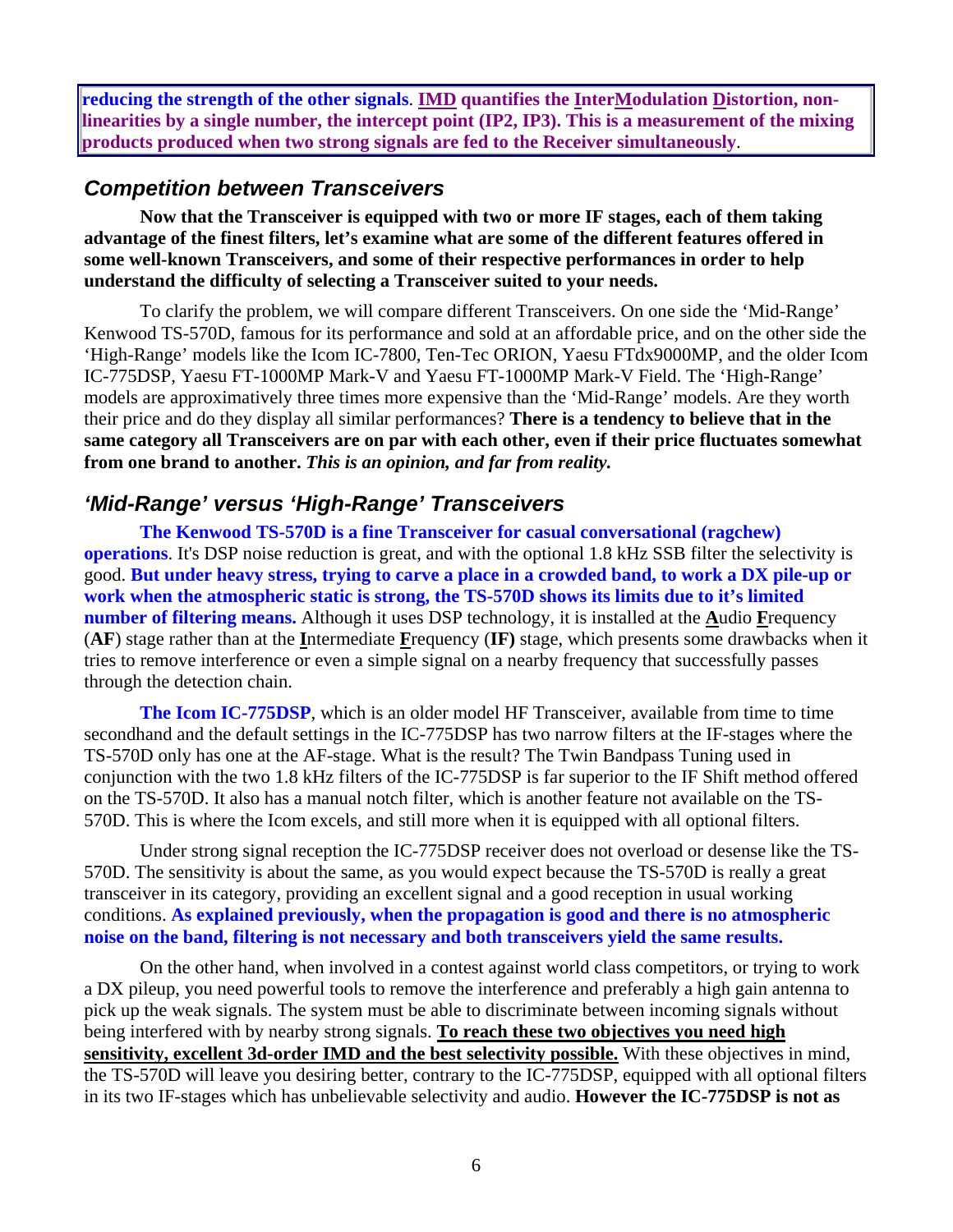**reducing the strength of the other signals**. **IMD quantifies the InterModulation Distortion, nonlinearities by a single number, the intercept point (IP2, IP3). This is a measurement of the mixing products produced when two strong signals are fed to the Receiver simultaneously**.

#### *Competition between Transceivers*

**Now that the Transceiver is equipped with two or more IF stages, each of them taking advantage of the finest filters, let's examine what are some of the different features offered in some well-known Transceivers, and some of their respective performances in order to help understand the difficulty of selecting a Transceiver suited to your needs.** 

To clarify the problem, we will compare different Transceivers. On one side the 'Mid-Range' Kenwood TS-570D, famous for its performance and sold at an affordable price, and on the other side the 'High-Range' models like the Icom IC-7800, Ten-Tec ORION, Yaesu FTdx9000MP, and the older Icom IC-775DSP, Yaesu FT-1000MP Mark-V and Yaesu FT-1000MP Mark-V Field. The 'High-Range' models are approximatively three times more expensive than the 'Mid-Range' models. Are they worth their price and do they display all similar performances? **There is a tendency to believe that in the same category all Transceivers are on par with each other, even if their price fluctuates somewhat from one brand to another.** *This is an opinion, and far from reality.* 

#### *'Mid-Range' versus 'High-Range' Transceivers*

**The Kenwood TS-570D is a fine Transceiver for casual conversational (ragchew) operations**. It's DSP noise reduction is great, and with the optional 1.8 kHz SSB filter the selectivity is good. **But under heavy stress, trying to carve a place in a crowded band, to work a DX pile-up or work when the atmospheric static is strong, the TS-570D shows its limits due to it's limited number of filtering means.** Although it uses DSP technology, it is installed at the **A**udio **F**requency (**AF**) stage rather than at the **I**ntermediate **F**requency (**IF)** stage, which presents some drawbacks when it tries to remove interference or even a simple signal on a nearby frequency that successfully passes through the detection chain.

**The Icom IC-775DSP**, which is an older model HF Transceiver, available from time to time secondhand and the default settings in the IC-775DSP has two narrow filters at the IF-stages where the TS-570D only has one at the AF-stage. What is the result? The Twin Bandpass Tuning used in conjunction with the two 1.8 kHz filters of the IC-775DSP is far superior to the IF Shift method offered on the TS-570D. It also has a manual notch filter, which is another feature not available on the TS-570D. This is where the Icom excels, and still more when it is equipped with all optional filters.

Under strong signal reception the IC-775DSP receiver does not overload or desense like the TS-570D. The sensitivity is about the same, as you would expect because the TS-570D is really a great transceiver in its category, providing an excellent signal and a good reception in usual working conditions. **As explained previously, when the propagation is good and there is no atmospheric noise on the band, filtering is not necessary and both transceivers yield the same results.**

On the other hand, when involved in a contest against world class competitors, or trying to work a DX pileup, you need powerful tools to remove the interference and preferably a high gain antenna to pick up the weak signals. The system must be able to discriminate between incoming signals without being interfered with by nearby strong signals. **To reach these two objectives you need high sensitivity, excellent 3d-order IMD and the best selectivity possible.** With these objectives in mind, the TS-570D will leave you desiring better, contrary to the IC-775DSP, equipped with all optional filters in its two IF-stages which has unbelievable selectivity and audio. **However the IC-775DSP is not as**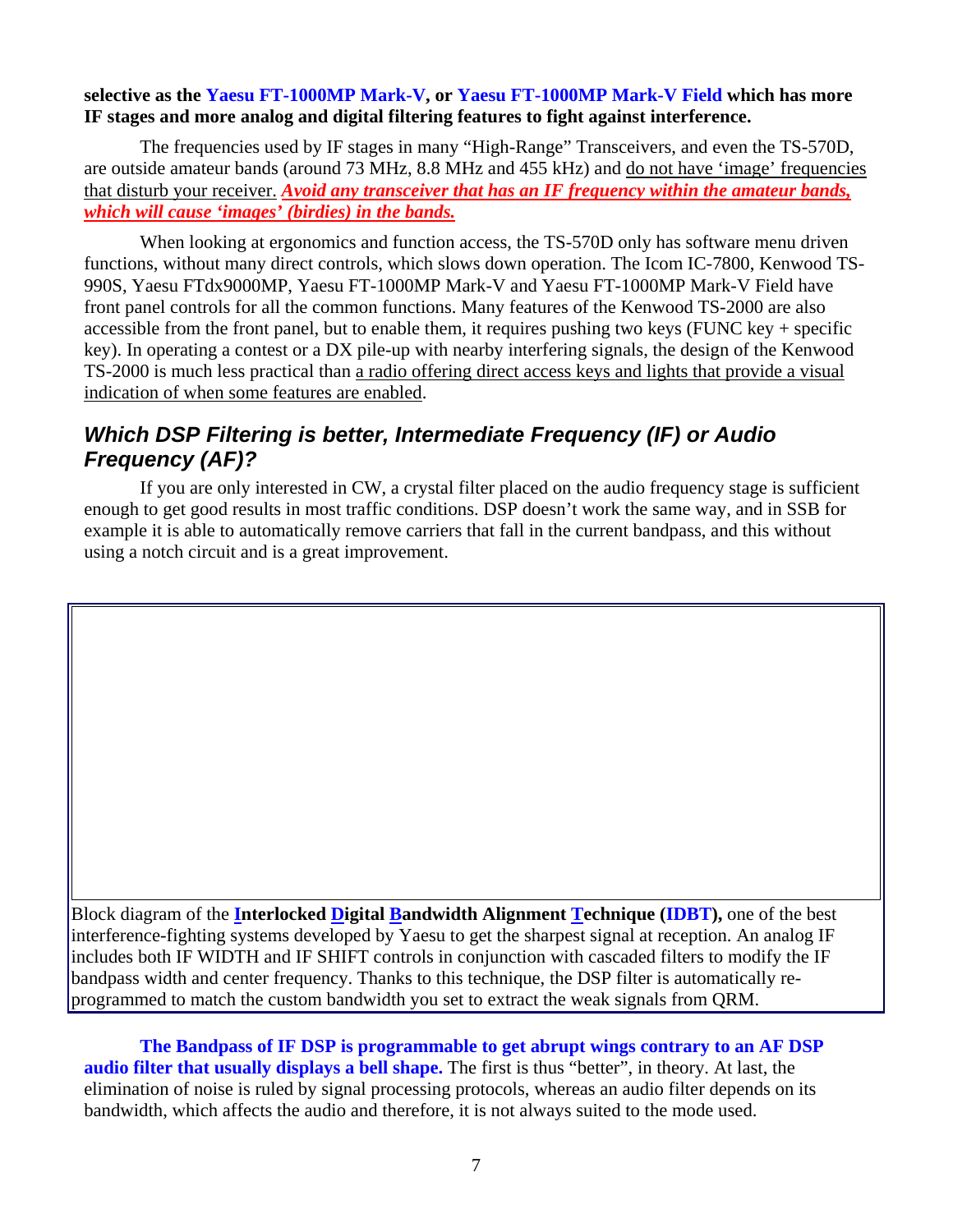#### **selective as the Yaesu FT-1000MP Mark-V, or Yaesu FT-1000MP Mark-V Field which has more IF stages and more analog and digital filtering features to fight against interference.**

The frequencies used by IF stages in many "High-Range" Transceivers, and even the TS-570D, are outside amateur bands (around 73 MHz, 8.8 MHz and 455 kHz) and do not have 'image' frequencies that disturb your receiver. *Avoid any transceiver that has an IF frequency within the amateur bands, which will cause 'images' (birdies) in the bands.*

When looking at ergonomics and function access, the TS-570D only has software menu driven functions, without many direct controls, which slows down operation. The Icom IC-7800, Kenwood TS-990S, Yaesu FTdx9000MP, Yaesu FT-1000MP Mark-V and Yaesu FT-1000MP Mark-V Field have front panel controls for all the common functions. Many features of the Kenwood TS-2000 are also accessible from the front panel, but to enable them, it requires pushing two keys (FUNC key + specific key). In operating a contest or a DX pile-up with nearby interfering signals, the design of the Kenwood TS-2000 is much less practical than a radio offering direct access keys and lights that provide a visual indication of when some features are enabled.

#### *Which DSP Filtering is better, Intermediate Frequency (IF) or Audio Frequency (AF)?*

If you are only interested in CW, a crystal filter placed on the audio frequency stage is sufficient enough to get good results in most traffic conditions. DSP doesn't work the same way, and in SSB for example it is able to automatically remove carriers that fall in the current bandpass, and this without using a notch circuit and is a great improvement.

Block diagram of the **Interlocked Digital Bandwidth Alignment Technique (IDBT),** one of the best interference-fighting systems developed by Yaesu to get the sharpest signal at reception. An analog IF includes both IF WIDTH and IF SHIFT controls in conjunction with cascaded filters to modify the IF bandpass width and center frequency. Thanks to this technique, the DSP filter is automatically reprogrammed to match the custom bandwidth you set to extract the weak signals from QRM.

**The Bandpass of IF DSP is programmable to get abrupt wings contrary to an AF DSP audio filter that usually displays a bell shape.** The first is thus "better", in theory. At last, the elimination of noise is ruled by signal processing protocols, whereas an audio filter depends on its bandwidth, which affects the audio and therefore, it is not always suited to the mode used.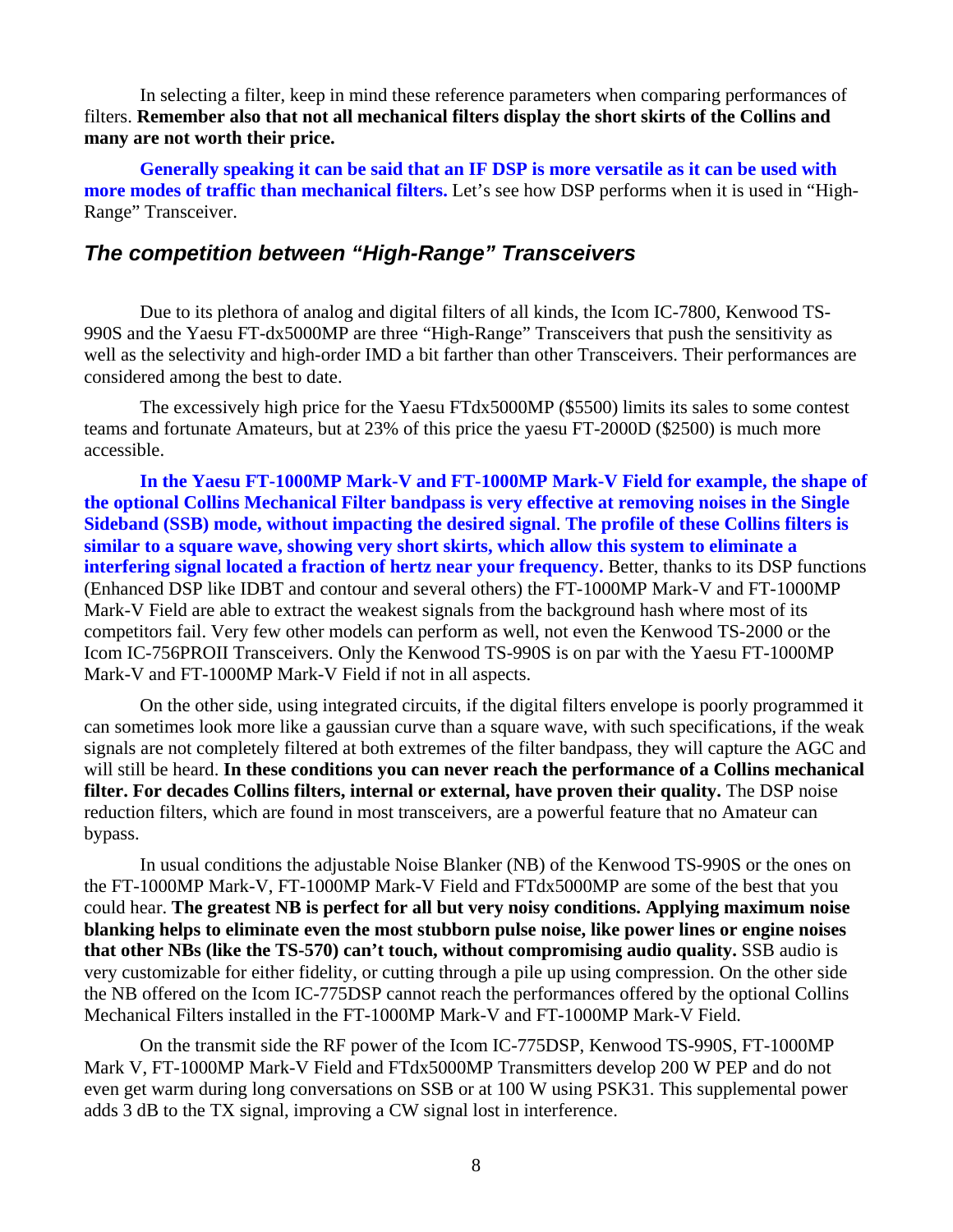In selecting a filter, keep in mind these reference parameters when comparing performances of filters. **Remember also that not all mechanical filters display the short skirts of the Collins and many are not worth their price.**

**Generally speaking it can be said that an IF DSP is more versatile as it can be used with more modes of traffic than mechanical filters.** Let's see how DSP performs when it is used in "High-Range" Transceiver.

#### *The competition between "High-Range" Transceivers*

Due to its plethora of analog and digital filters of all kinds, the Icom IC-7800, Kenwood TS-990S and the Yaesu FT-dx5000MP are three "High-Range" Transceivers that push the sensitivity as well as the selectivity and high-order IMD a bit farther than other Transceivers. Their performances are considered among the best to date.

The excessively high price for the Yaesu FTdx5000MP (\$5500) limits its sales to some contest teams and fortunate Amateurs, but at 23% of this price the yaesu FT-2000D (\$2500) is much more accessible.

**In the Yaesu FT-1000MP Mark-V and FT-1000MP Mark-V Field for example, the shape of the optional Collins Mechanical Filter bandpass is very effective at removing noises in the Single Sideband (SSB) mode, without impacting the desired signal**. **The profile of these Collins filters is similar to a square wave, showing very short skirts, which allow this system to eliminate a interfering signal located a fraction of hertz near your frequency.** Better, thanks to its DSP functions (Enhanced DSP like IDBT and contour and several others) the FT-1000MP Mark-V and FT-1000MP Mark-V Field are able to extract the weakest signals from the background hash where most of its competitors fail. Very few other models can perform as well, not even the Kenwood TS-2000 or the Icom IC-756PROII Transceivers. Only the Kenwood TS-990S is on par with the Yaesu FT-1000MP Mark-V and FT-1000MP Mark-V Field if not in all aspects.

On the other side, using integrated circuits, if the digital filters envelope is poorly programmed it can sometimes look more like a gaussian curve than a square wave, with such specifications, if the weak signals are not completely filtered at both extremes of the filter bandpass, they will capture the AGC and will still be heard. **In these conditions you can never reach the performance of a Collins mechanical filter. For decades Collins filters, internal or external, have proven their quality.** The DSP noise reduction filters, which are found in most transceivers, are a powerful feature that no Amateur can bypass.

In usual conditions the adjustable Noise Blanker (NB) of the Kenwood TS-990S or the ones on the FT-1000MP Mark-V, FT-1000MP Mark-V Field and FTdx5000MP are some of the best that you could hear. **The greatest NB is perfect for all but very noisy conditions. Applying maximum noise blanking helps to eliminate even the most stubborn pulse noise, like power lines or engine noises that other NBs (like the TS-570) can't touch, without compromising audio quality.** SSB audio is very customizable for either fidelity, or cutting through a pile up using compression. On the other side the NB offered on the Icom IC-775DSP cannot reach the performances offered by the optional Collins Mechanical Filters installed in the FT-1000MP Mark-V and FT-1000MP Mark-V Field.

On the transmit side the RF power of the Icom IC-775DSP, Kenwood TS-990S, FT-1000MP Mark V, FT-1000MP Mark-V Field and FTdx5000MP Transmitters develop 200 W PEP and do not even get warm during long conversations on SSB or at 100 W using PSK31. This supplemental power adds 3 dB to the TX signal, improving a CW signal lost in interference.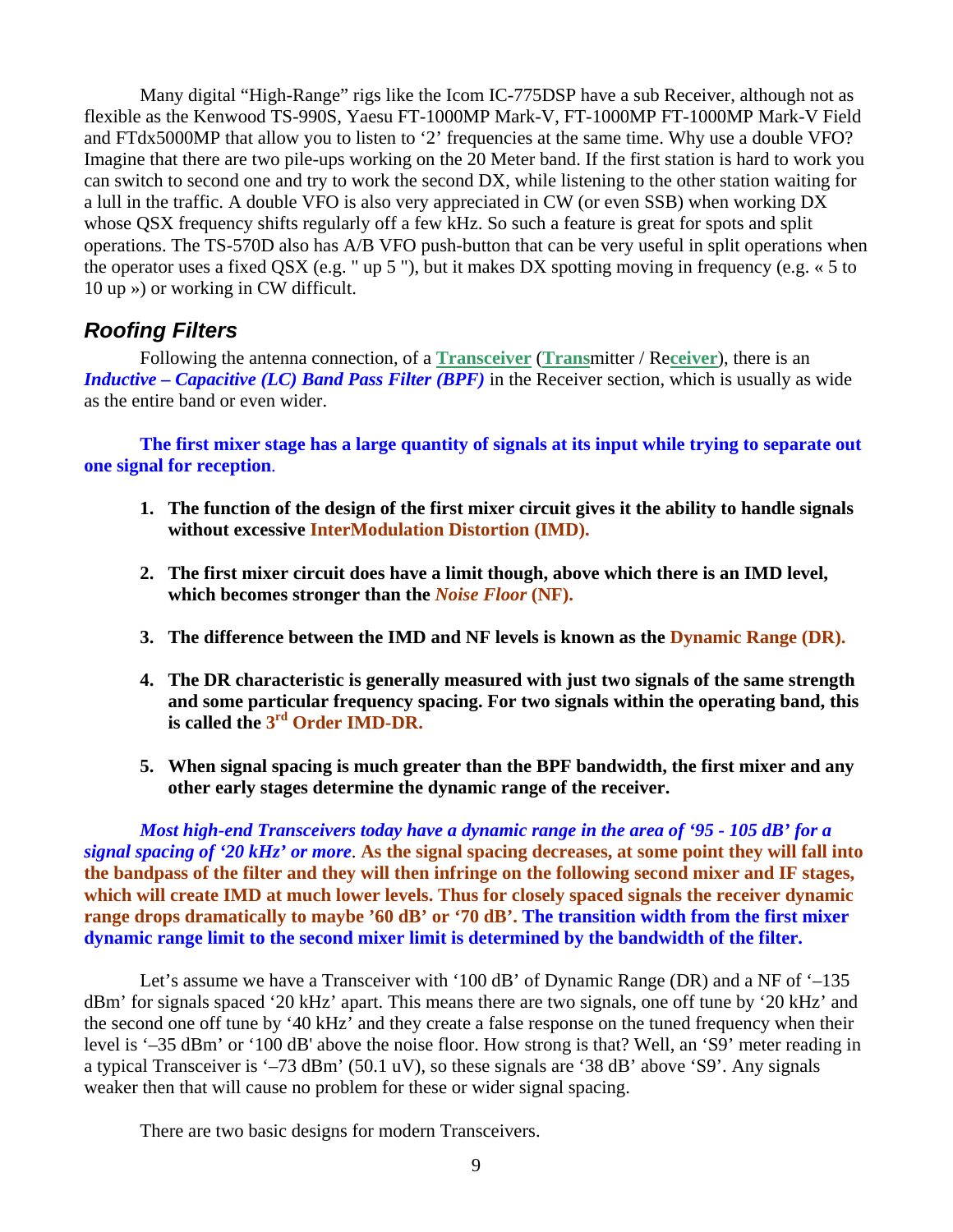Many digital "High-Range" rigs like the Icom IC-775DSP have a sub Receiver, although not as flexible as the Kenwood TS-990S, Yaesu FT-1000MP Mark-V, FT-1000MP FT-1000MP Mark-V Field and FTdx5000MP that allow you to listen to '2' frequencies at the same time. Why use a double VFO? Imagine that there are two pile-ups working on the 20 Meter band. If the first station is hard to work you can switch to second one and try to work the second DX, while listening to the other station waiting for a lull in the traffic. A double VFO is also very appreciated in CW (or even SSB) when working DX whose QSX frequency shifts regularly off a few kHz. So such a feature is great for spots and split operations. The TS-570D also has A/B VFO push-button that can be very useful in split operations when the operator uses a fixed QSX (e.g. " up 5 "), but it makes DX spotting moving in frequency (e.g. « 5 to 10 up ») or working in CW difficult.

#### *Roofing Filters*

Following the antenna connection, of a **Transceiver** (**Trans**mitter / Re**ceiver**), there is an *Inductive – Capacitive (LC) Band Pass Filter (BPF)* in the Receiver section, which is usually as wide as the entire band or even wider.

**The first mixer stage has a large quantity of signals at its input while trying to separate out one signal for reception**.

- **1. The function of the design of the first mixer circuit gives it the ability to handle signals without excessive InterModulation Distortion (IMD).**
- **2. The first mixer circuit does have a limit though, above which there is an IMD level, which becomes stronger than the** *Noise Floor* **(NF).**
- **3. The difference between the IMD and NF levels is known as the Dynamic Range (DR).**
- **4. The DR characteristic is generally measured with just two signals of the same strength and some particular frequency spacing. For two signals within the operating band, this is called the 3rd Order IMD-DR.**
- **5. When signal spacing is much greater than the BPF bandwidth, the first mixer and any other early stages determine the dynamic range of the receiver.**

*Most high-end Transceivers today have a dynamic range in the area of '95 - 105 dB' for a signal spacing of '20 kHz' or more*. **As the signal spacing decreases, at some point they will fall into the bandpass of the filter and they will then infringe on the following second mixer and IF stages, which will create IMD at much lower levels. Thus for closely spaced signals the receiver dynamic range drops dramatically to maybe '60 dB' or '70 dB'. The transition width from the first mixer dynamic range limit to the second mixer limit is determined by the bandwidth of the filter.**

Let's assume we have a Transceiver with '100 dB' of Dynamic Range (DR) and a NF of '–135 dBm' for signals spaced '20 kHz' apart. This means there are two signals, one off tune by '20 kHz' and the second one off tune by '40 kHz' and they create a false response on the tuned frequency when their level is '–35 dBm' or '100 dB' above the noise floor. How strong is that? Well, an 'S9' meter reading in a typical Transceiver is '–73 dBm' (50.1 uV), so these signals are '38 dB' above 'S9'. Any signals weaker then that will cause no problem for these or wider signal spacing.

There are two basic designs for modern Transceivers.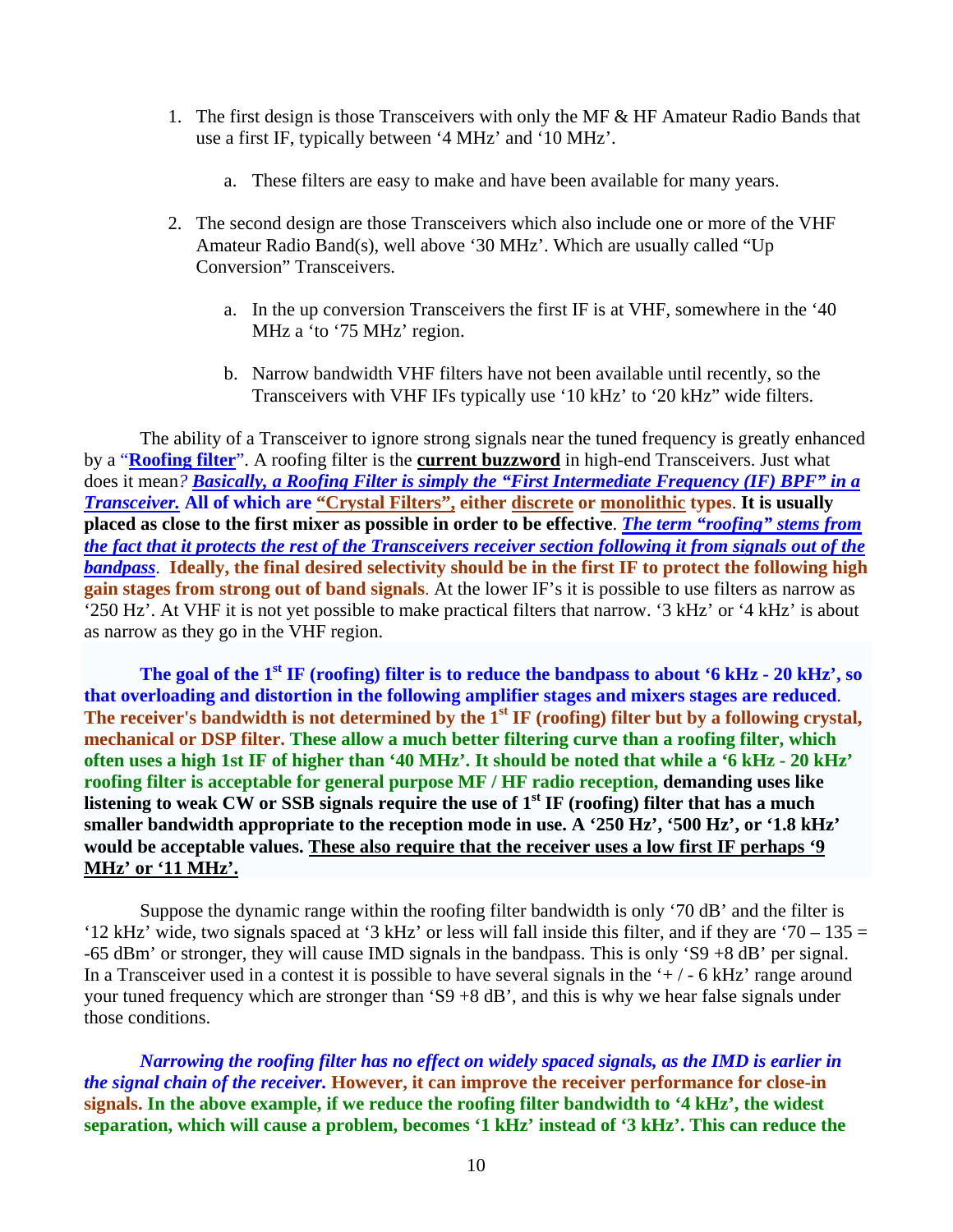- 1. The first design is those Transceivers with only the MF & HF Amateur Radio Bands that use a first IF, typically between '4 MHz' and '10 MHz'.
	- a. These filters are easy to make and have been available for many years.
- 2. The second design are those Transceivers which also include one or more of the VHF Amateur Radio Band(s), well above '30 MHz'. Which are usually called "Up Conversion" Transceivers.
	- a. In the up conversion Transceivers the first IF is at VHF, somewhere in the '40 MHz a 'to '75 MHz' region.
	- b. Narrow bandwidth VHF filters have not been available until recently, so the Transceivers with VHF IFs typically use '10 kHz' to '20 kHz" wide filters.

The ability of a Transceiver to ignore strong signals near the tuned frequency is greatly enhanced by a "**Roofing filter**". A roofing filter is the **current buzzword** in high-end Transceivers. Just what does it mean*? Basically, a Roofing Filter is simply the "First Intermediate Frequency (IF) BPF" in a Transceiver.* **All of which are "Crystal Filters", either discrete or monolithic types**. **It is usually placed as close to the first mixer as possible in order to be effective**. *The term "roofing" stems from the fact that it protects the rest of the Transceivers receiver section following it from signals out of the bandpass*. **Ideally, the final desired selectivity should be in the first IF to protect the following high gain stages from strong out of band signals**. At the lower IF's it is possible to use filters as narrow as '250 Hz'. At VHF it is not yet possible to make practical filters that narrow. '3 kHz' or '4 kHz' is about as narrow as they go in the VHF region.

The goal of the 1<sup>st</sup> IF (roofing) filter is to reduce the bandpass to about '6 kHz - 20 kHz', so **that overloading and distortion in the following amplifier stages and mixers stages are reduced**. The receiver's bandwidth is not determined by the 1<sup>st</sup> IF (roofing) filter but by a following crystal, **mechanical or DSP filter. These allow a much better filtering curve than a roofing filter, which often uses a high 1st IF of higher than '40 MHz'. It should be noted that while a '6 kHz - 20 kHz' roofing filter is acceptable for general purpose MF / HF radio reception, demanding uses like**  listening to weak CW or SSB signals require the use of 1<sup>st</sup> IF (roofing) filter that has a much **smaller bandwidth appropriate to the reception mode in use. A '250 Hz', '500 Hz', or '1.8 kHz' would be acceptable values. These also require that the receiver uses a low first IF perhaps '9 MHz' or '11 MHz'.**

Suppose the dynamic range within the roofing filter bandwidth is only '70 dB' and the filter is '12 kHz' wide, two signals spaced at '3 kHz' or less will fall inside this filter, and if they are '70 – 135 = -65 dBm' or stronger, they will cause IMD signals in the bandpass. This is only 'S9 +8 dB' per signal. In a Transceiver used in a contest it is possible to have several signals in the  $+/-6$  kHz' range around your tuned frequency which are stronger than 'S9 +8 dB', and this is why we hear false signals under those conditions.

*Narrowing the roofing filter has no effect on widely spaced signals, as the IMD is earlier in the signal chain of the receiver.* **However, it can improve the receiver performance for close-in signals. In the above example, if we reduce the roofing filter bandwidth to '4 kHz', the widest separation, which will cause a problem, becomes '1 kHz' instead of '3 kHz'. This can reduce the**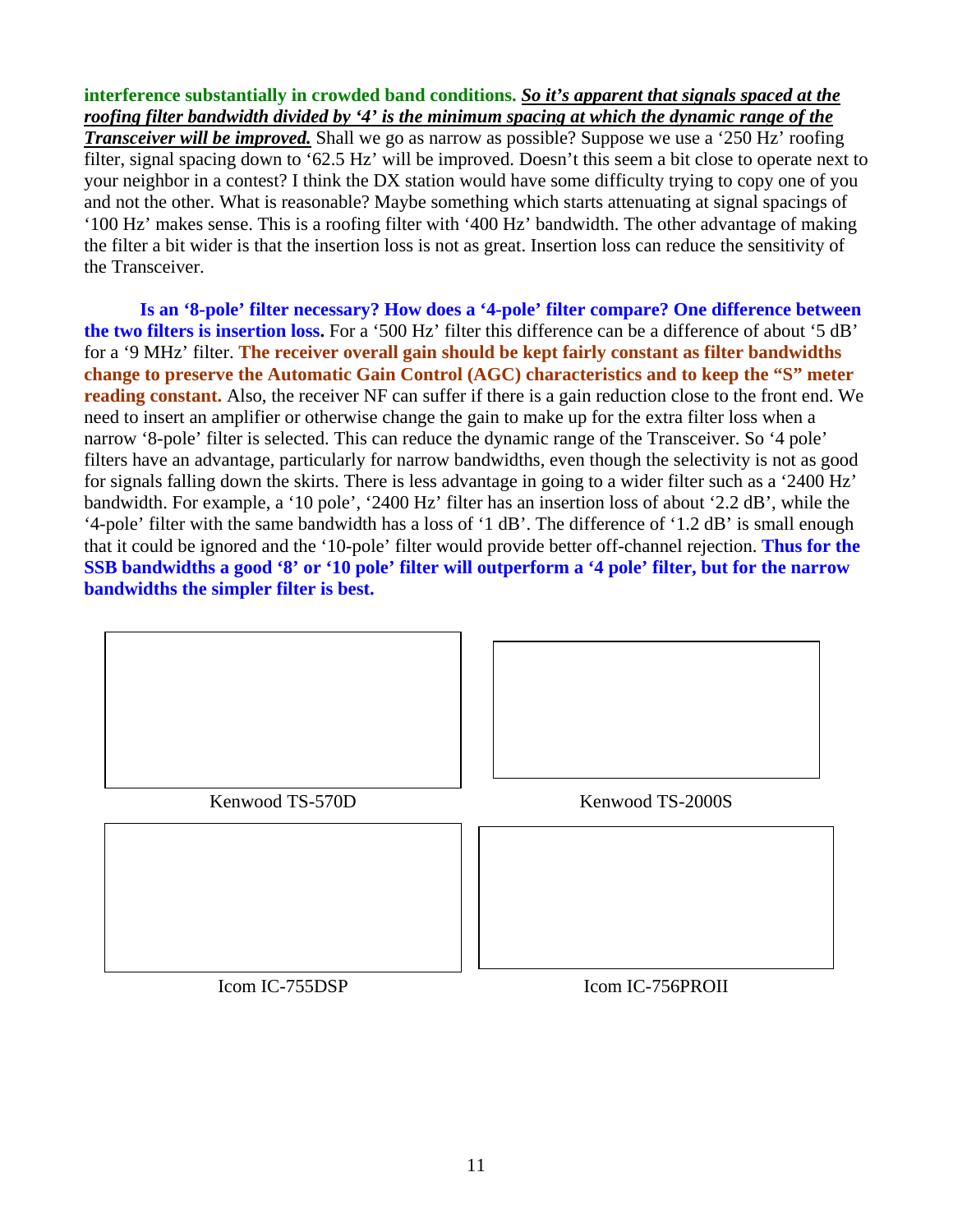#### **interference substantially in crowded band conditions.** *So it's apparent that signals spaced at the roofing filter bandwidth divided by '4' is the minimum spacing at which the dynamic range of the Transceiver will be improved.* Shall we go as narrow as possible? Suppose we use a '250 Hz' roofing filter, signal spacing down to '62.5 Hz' will be improved. Doesn't this seem a bit close to operate next to your neighbor in a contest? I think the DX station would have some difficulty trying to copy one of you and not the other. What is reasonable? Maybe something which starts attenuating at signal spacings of '100 Hz' makes sense. This is a roofing filter with '400 Hz' bandwidth. The other advantage of making the filter a bit wider is that the insertion loss is not as great. Insertion loss can reduce the sensitivity of the Transceiver.

**Is an '8-pole' filter necessary? How does a '4-pole' filter compare? One difference between the two filters is insertion loss.** For a '500 Hz' filter this difference can be a difference of about '5 dB' for a '9 MHz' filter. **The receiver overall gain should be kept fairly constant as filter bandwidths change to preserve the Automatic Gain Control (AGC) characteristics and to keep the "S" meter reading constant.** Also, the receiver NF can suffer if there is a gain reduction close to the front end. We need to insert an amplifier or otherwise change the gain to make up for the extra filter loss when a narrow '8-pole' filter is selected. This can reduce the dynamic range of the Transceiver. So '4 pole' filters have an advantage, particularly for narrow bandwidths, even though the selectivity is not as good for signals falling down the skirts. There is less advantage in going to a wider filter such as a '2400 Hz' bandwidth. For example, a '10 pole', '2400 Hz' filter has an insertion loss of about '2.2 dB', while the '4-pole' filter with the same bandwidth has a loss of '1 dB'. The difference of '1.2 dB' is small enough that it could be ignored and the '10-pole' filter would provide better off-channel rejection. **Thus for the SSB bandwidths a good '8' or '10 pole' filter will outperform a '4 pole' filter, but for the narrow bandwidths the simpler filter is best.**

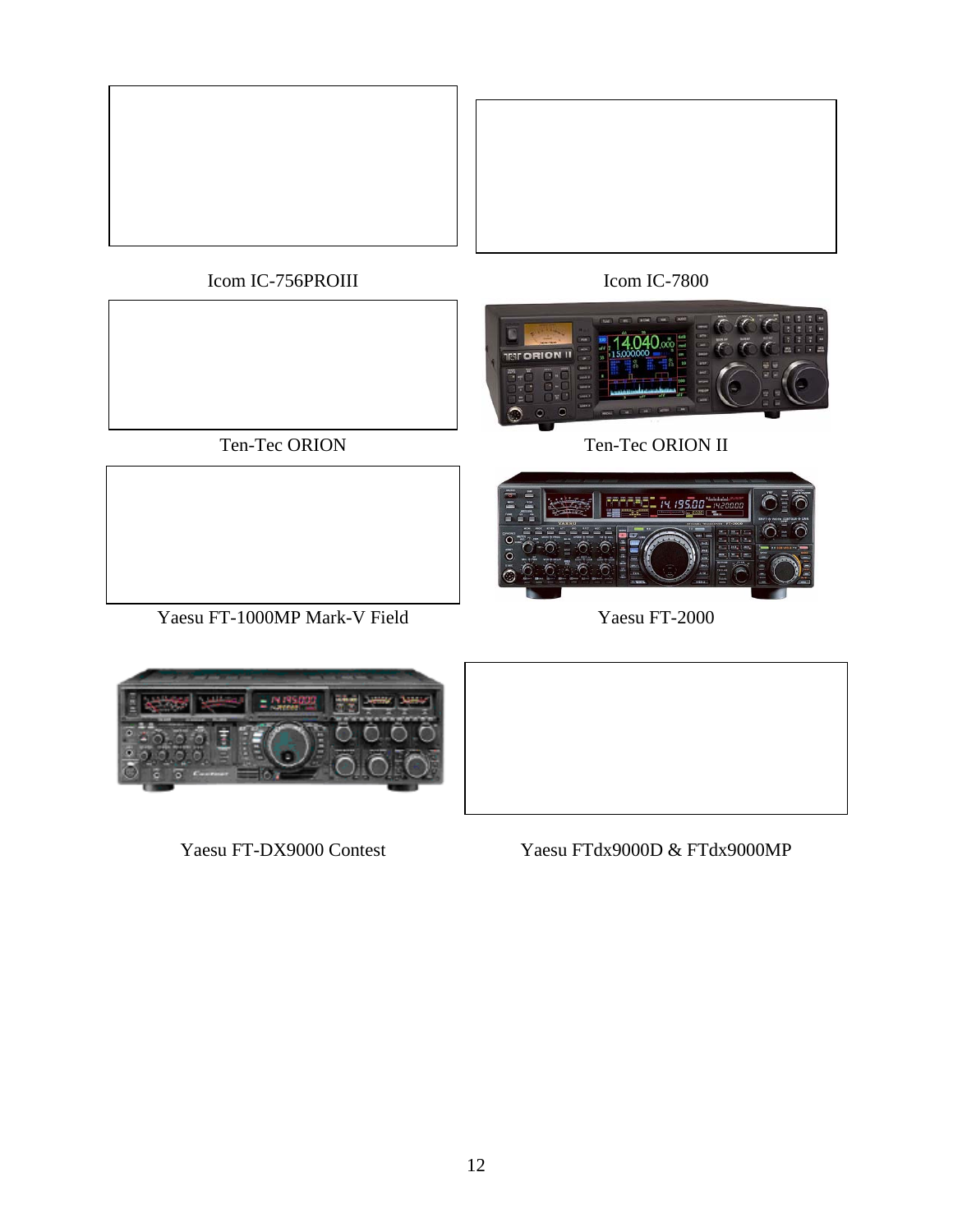

Icom IC-756PROIII Icom IC-7800



Ten-Tec ORION Ten-Tec ORION II



Yaesu FT-1000MP Mark-V Field Yaesu FT-2000



Yaesu FT-DX9000 Contest Yaesu FTdx9000D & FTdx9000MP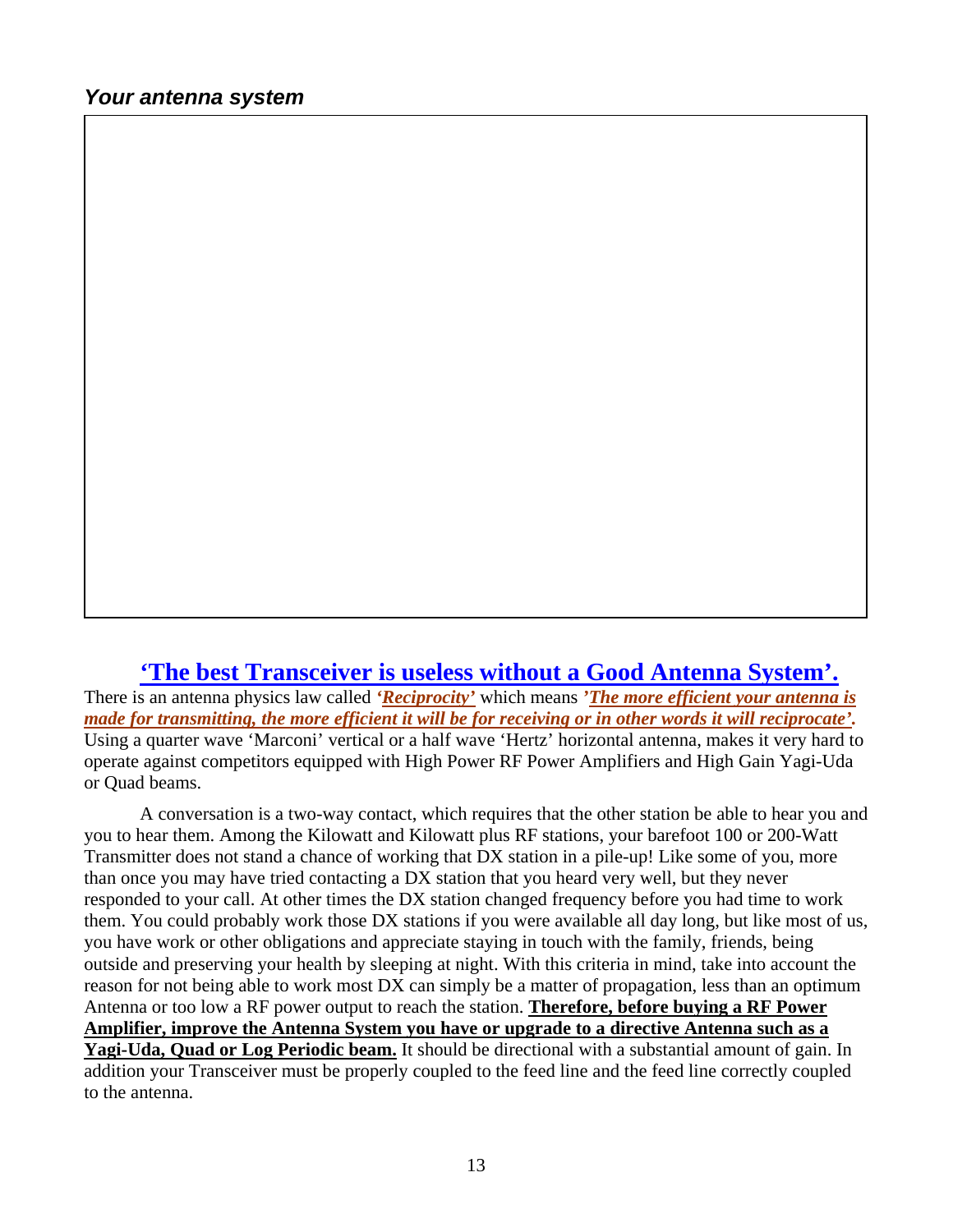#### **'The best Transceiver is useless without a Good Antenna System'.**

There is an antenna physics law called *'Reciprocity'* which means *'The more efficient your antenna is made for transmitting, the more efficient it will be for receiving or in other words it will reciprocate'.* Using a quarter wave 'Marconi' vertical or a half wave 'Hertz' horizontal antenna, makes it very hard to operate against competitors equipped with High Power RF Power Amplifiers and High Gain Yagi-Uda or Quad beams.

A conversation is a two-way contact, which requires that the other station be able to hear you and you to hear them. Among the Kilowatt and Kilowatt plus RF stations, your barefoot 100 or 200-Watt Transmitter does not stand a chance of working that DX station in a pile-up! Like some of you, more than once you may have tried contacting a DX station that you heard very well, but they never responded to your call. At other times the DX station changed frequency before you had time to work them. You could probably work those DX stations if you were available all day long, but like most of us, you have work or other obligations and appreciate staying in touch with the family, friends, being outside and preserving your health by sleeping at night. With this criteria in mind, take into account the reason for not being able to work most DX can simply be a matter of propagation, less than an optimum Antenna or too low a RF power output to reach the station. **Therefore, before buying a RF Power Amplifier, improve the Antenna System you have or upgrade to a directive Antenna such as a Yagi-Uda, Quad or Log Periodic beam.** It should be directional with a substantial amount of gain. In addition your Transceiver must be properly coupled to the feed line and the feed line correctly coupled to the antenna.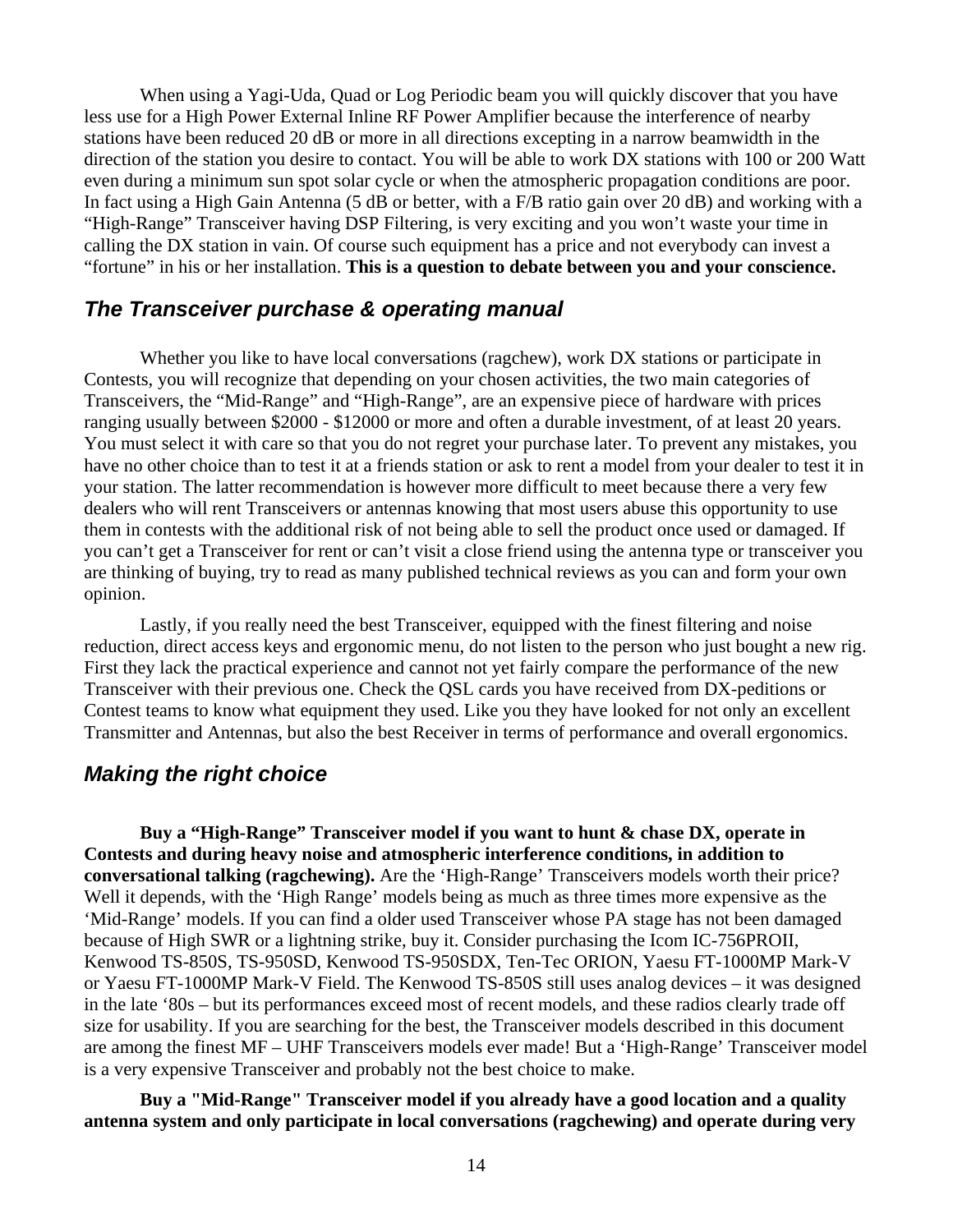When using a Yagi-Uda, Quad or Log Periodic beam you will quickly discover that you have less use for a High Power External Inline RF Power Amplifier because the interference of nearby stations have been reduced 20 dB or more in all directions excepting in a narrow beamwidth in the direction of the station you desire to contact. You will be able to work DX stations with 100 or 200 Watt even during a minimum sun spot solar cycle or when the atmospheric propagation conditions are poor. In fact using a High Gain Antenna (5 dB or better, with a F/B ratio gain over 20 dB) and working with a "High-Range" Transceiver having DSP Filtering, is very exciting and you won't waste your time in calling the DX station in vain. Of course such equipment has a price and not everybody can invest a "fortune" in his or her installation. **This is a question to debate between you and your conscience.**

#### *The Transceiver purchase & operating manual*

Whether you like to have local conversations (ragchew), work DX stations or participate in Contests, you will recognize that depending on your chosen activities, the two main categories of Transceivers, the "Mid-Range" and "High-Range", are an expensive piece of hardware with prices ranging usually between \$2000 - \$12000 or more and often a durable investment, of at least 20 years. You must select it with care so that you do not regret your purchase later. To prevent any mistakes, you have no other choice than to test it at a friends station or ask to rent a model from your dealer to test it in your station. The latter recommendation is however more difficult to meet because there a very few dealers who will rent Transceivers or antennas knowing that most users abuse this opportunity to use them in contests with the additional risk of not being able to sell the product once used or damaged. If you can't get a Transceiver for rent or can't visit a close friend using the antenna type or transceiver you are thinking of buying, try to read as many published technical reviews as you can and form your own opinion.

Lastly, if you really need the best Transceiver, equipped with the finest filtering and noise reduction, direct access keys and ergonomic menu, do not listen to the person who just bought a new rig. First they lack the practical experience and cannot not yet fairly compare the performance of the new Transceiver with their previous one. Check the QSL cards you have received from DX-peditions or Contest teams to know what equipment they used. Like you they have looked for not only an excellent Transmitter and Antennas, but also the best Receiver in terms of performance and overall ergonomics.

#### *Making the right choice*

**Buy a "High-Range" Transceiver model if you want to hunt & chase DX, operate in Contests and during heavy noise and atmospheric interference conditions, in addition to conversational talking (ragchewing).** Are the 'High-Range' Transceivers models worth their price? Well it depends, with the 'High Range' models being as much as three times more expensive as the 'Mid-Range' models. If you can find a older used Transceiver whose PA stage has not been damaged because of High SWR or a lightning strike, buy it. Consider purchasing the Icom IC-756PROII, Kenwood TS-850S, TS-950SD, Kenwood TS-950SDX, Ten-Tec ORION, Yaesu FT-1000MP Mark-V or Yaesu FT-1000MP Mark-V Field. The Kenwood TS-850S still uses analog devices – it was designed in the late '80s – but its performances exceed most of recent models, and these radios clearly trade off size for usability. If you are searching for the best, the Transceiver models described in this document are among the finest MF – UHF Transceivers models ever made! But a 'High-Range' Transceiver model is a very expensive Transceiver and probably not the best choice to make.

**Buy a "Mid-Range" Transceiver model if you already have a good location and a quality antenna system and only participate in local conversations (ragchewing) and operate during very**